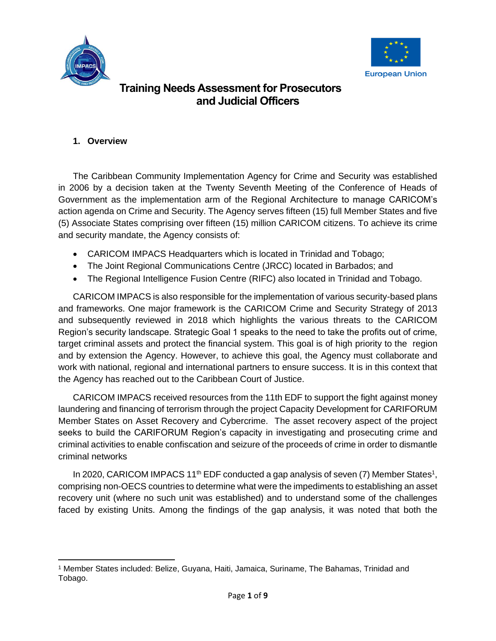



### **1. Overview**

The Caribbean Community Implementation Agency for Crime and Security was established in 2006 by a decision taken at the Twenty Seventh Meeting of the Conference of Heads of Government as the implementation arm of the Regional Architecture to manage CARICOM's action agenda on Crime and Security. The Agency serves fifteen (15) full Member States and five (5) Associate States comprising over fifteen (15) million CARICOM citizens. To achieve its crime and security mandate, the Agency consists of:

- CARICOM IMPACS Headquarters which is located in Trinidad and Tobago;
- The Joint Regional Communications Centre (JRCC) located in Barbados; and
- The Regional Intelligence Fusion Centre (RIFC) also located in Trinidad and Tobago.

CARICOM IMPACS is also responsible for the implementation of various security-based plans and frameworks. One major framework is the CARICOM Crime and Security Strategy of 2013 and subsequently reviewed in 2018 which highlights the various threats to the CARICOM Region's security landscape. Strategic Goal 1 speaks to the need to take the profits out of crime, target criminal assets and protect the financial system. This goal is of high priority to the region and by extension the Agency. However, to achieve this goal, the Agency must collaborate and work with national, regional and international partners to ensure success. It is in this context that the Agency has reached out to the Caribbean Court of Justice.

CARICOM IMPACS received resources from the 11th EDF to support the fight against money laundering and financing of terrorism through the project Capacity Development for CARIFORUM Member States on Asset Recovery and Cybercrime. The asset recovery aspect of the project seeks to build the CARIFORUM Region's capacity in investigating and prosecuting crime and criminal activities to enable confiscation and seizure of the proceeds of crime in order to dismantle criminal networks

In 2020, CARICOM IMPACS 11<sup>th</sup> EDF conducted a gap analysis of seven (7) Member States<sup>1</sup>, comprising non-OECS countries to determine what were the impediments to establishing an asset recovery unit (where no such unit was established) and to understand some of the challenges faced by existing Units. Among the findings of the gap analysis, it was noted that both the

<sup>1</sup> Member States included: Belize, Guyana, Haiti, Jamaica, Suriname, The Bahamas, Trinidad and Tobago.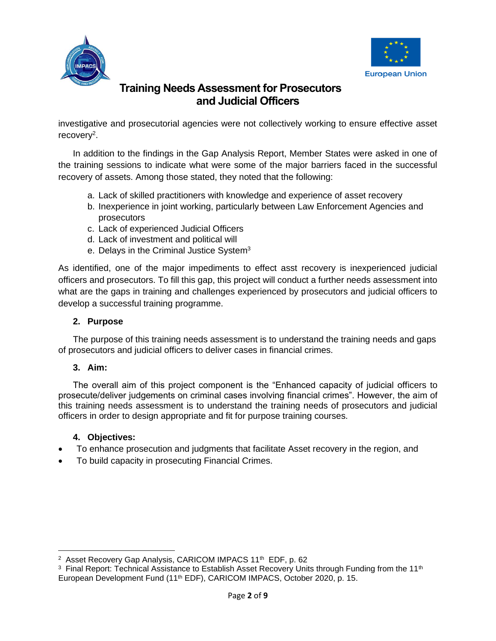



investigative and prosecutorial agencies were not collectively working to ensure effective asset recovery<sup>2</sup>.

In addition to the findings in the Gap Analysis Report, Member States were asked in one of the training sessions to indicate what were some of the major barriers faced in the successful recovery of assets. Among those stated, they noted that the following:

- a. Lack of skilled practitioners with knowledge and experience of asset recovery
- b. Inexperience in joint working, particularly between Law Enforcement Agencies and prosecutors
- c. Lack of experienced Judicial Officers
- d. Lack of investment and political will
- e. Delays in the Criminal Justice System<sup>3</sup>

As identified, one of the major impediments to effect asst recovery is inexperienced judicial officers and prosecutors. To fill this gap, this project will conduct a further needs assessment into what are the gaps in training and challenges experienced by prosecutors and judicial officers to develop a successful training programme.

### **2. Purpose**

The purpose of this training needs assessment is to understand the training needs and gaps of prosecutors and judicial officers to deliver cases in financial crimes.

### **3. Aim:**

The overall aim of this project component is the "Enhanced capacity of judicial officers to prosecute/deliver judgements on criminal cases involving financial crimes". However, the aim of this training needs assessment is to understand the training needs of prosecutors and judicial officers in order to design appropriate and fit for purpose training courses.

### **4. Objectives:**

- To enhance prosecution and judgments that facilitate Asset recovery in the region, and
- To build capacity in prosecuting Financial Crimes.

<sup>&</sup>lt;sup>2</sup> Asset Recovery Gap Analysis, CARICOM IMPACS 11<sup>th</sup> EDF, p. 62

<sup>&</sup>lt;sup>3</sup> Final Report: Technical Assistance to Establish Asset Recovery Units through Funding from the 11<sup>th</sup> European Development Fund (11<sup>th</sup> EDF), CARICOM IMPACS, October 2020, p. 15.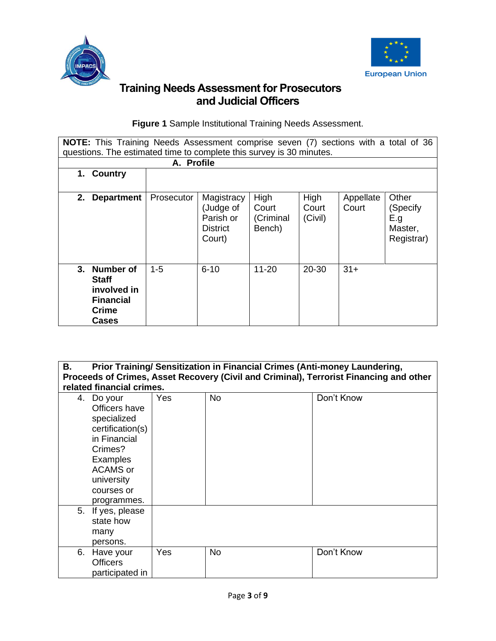



**Figure 1** Sample Institutional Training Needs Assessment.

| NOTE: This Training Needs Assessment comprise seven (7) sections with a total of 36         |            |                                                                   |                                      |                          |                    |                                                   |
|---------------------------------------------------------------------------------------------|------------|-------------------------------------------------------------------|--------------------------------------|--------------------------|--------------------|---------------------------------------------------|
| questions. The estimated time to complete this survey is 30 minutes.                        |            |                                                                   |                                      |                          |                    |                                                   |
|                                                                                             | A. Profile |                                                                   |                                      |                          |                    |                                                   |
| <b>Country</b><br>1.                                                                        |            |                                                                   |                                      |                          |                    |                                                   |
|                                                                                             |            |                                                                   |                                      |                          |                    |                                                   |
| 2.<br><b>Department</b>                                                                     | Prosecutor | Magistracy<br>(Judge of<br>Parish or<br><b>District</b><br>Court) | High<br>Court<br>(Criminal<br>Bench) | High<br>Court<br>(Civil) | Appellate<br>Court | Other<br>(Specify<br>E.g<br>Master,<br>Registrar) |
| 3.<br>Number of<br><b>Staff</b><br>involved in<br><b>Financial</b><br><b>Crime</b><br>Cases | $1 - 5$    | $6 - 10$                                                          | $11 - 20$                            | 20-30                    | $31+$              |                                                   |

| <b>B.</b>                                                                                                                                                              | Prior Training/ Sensitization in Financial Crimes (Anti-money Laundering,              |           |            |  |  |  |  |
|------------------------------------------------------------------------------------------------------------------------------------------------------------------------|----------------------------------------------------------------------------------------|-----------|------------|--|--|--|--|
|                                                                                                                                                                        | Proceeds of Crimes, Asset Recovery (Civil and Criminal), Terrorist Financing and other |           |            |  |  |  |  |
| related financial crimes.                                                                                                                                              |                                                                                        |           |            |  |  |  |  |
| 4.<br>Do your<br>Officers have<br>specialized<br>certification(s)<br>in Financial<br>Crimes?<br>Examples<br><b>ACAMS</b> or<br>university<br>courses or<br>programmes. | Yes                                                                                    | <b>No</b> | Don't Know |  |  |  |  |
| If yes, please<br>5.<br>state how<br>many<br>persons.                                                                                                                  |                                                                                        |           |            |  |  |  |  |
| 6.<br>Have your<br><b>Officers</b><br>participated in                                                                                                                  | Yes                                                                                    | <b>No</b> | Don't Know |  |  |  |  |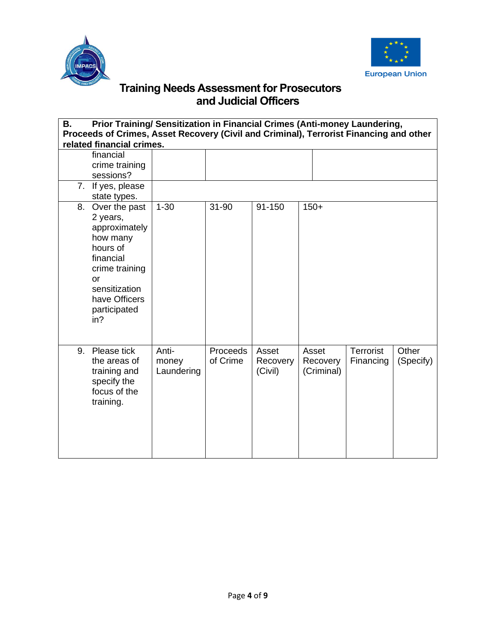



| В. | Prior Training/ Sensitization in Financial Crimes (Anti-money Laundering,<br>Proceeds of Crimes, Asset Recovery (Civil and Criminal), Terrorist Financing and other |            |                 |          |            |           |           |
|----|---------------------------------------------------------------------------------------------------------------------------------------------------------------------|------------|-----------------|----------|------------|-----------|-----------|
|    | related financial crimes.                                                                                                                                           |            |                 |          |            |           |           |
|    | financial                                                                                                                                                           |            |                 |          |            |           |           |
|    | crime training                                                                                                                                                      |            |                 |          |            |           |           |
|    | sessions?                                                                                                                                                           |            |                 |          |            |           |           |
|    | 7. If yes, please                                                                                                                                                   |            |                 |          |            |           |           |
|    | state types.                                                                                                                                                        |            |                 |          |            |           |           |
| 8. | Over the past                                                                                                                                                       | $1 - 30$   | 31-90           | 91-150   | $150+$     |           |           |
|    | 2 years,                                                                                                                                                            |            |                 |          |            |           |           |
|    | approximately                                                                                                                                                       |            |                 |          |            |           |           |
|    | how many                                                                                                                                                            |            |                 |          |            |           |           |
|    | hours of                                                                                                                                                            |            |                 |          |            |           |           |
|    | financial                                                                                                                                                           |            |                 |          |            |           |           |
|    | crime training                                                                                                                                                      |            |                 |          |            |           |           |
|    | or<br>sensitization                                                                                                                                                 |            |                 |          |            |           |           |
|    | have Officers                                                                                                                                                       |            |                 |          |            |           |           |
|    | participated                                                                                                                                                        |            |                 |          |            |           |           |
|    | in?                                                                                                                                                                 |            |                 |          |            |           |           |
|    |                                                                                                                                                                     |            |                 |          |            |           |           |
|    |                                                                                                                                                                     |            |                 |          |            |           |           |
| 9. | Please tick                                                                                                                                                         | Anti-      | <b>Proceeds</b> | Asset    | Asset      | Terrorist | Other     |
|    | the areas of                                                                                                                                                        | money      | of Crime        | Recovery | Recovery   | Financing | (Specify) |
|    | training and                                                                                                                                                        | Laundering |                 | (Civil)  | (Criminal) |           |           |
|    | specify the                                                                                                                                                         |            |                 |          |            |           |           |
|    | focus of the                                                                                                                                                        |            |                 |          |            |           |           |
|    | training.                                                                                                                                                           |            |                 |          |            |           |           |
|    |                                                                                                                                                                     |            |                 |          |            |           |           |
|    |                                                                                                                                                                     |            |                 |          |            |           |           |
|    |                                                                                                                                                                     |            |                 |          |            |           |           |
|    |                                                                                                                                                                     |            |                 |          |            |           |           |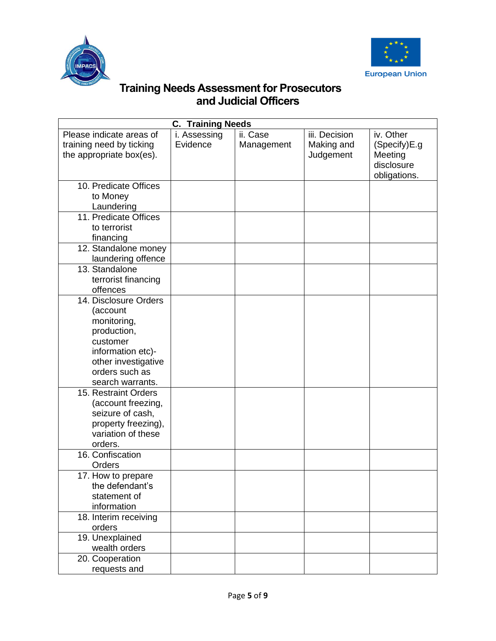



| <b>C. Training Needs</b>                                                         |                          |                        |                                          |                                      |  |  |
|----------------------------------------------------------------------------------|--------------------------|------------------------|------------------------------------------|--------------------------------------|--|--|
| Please indicate areas of<br>training need by ticking<br>the appropriate box(es). | i. Assessing<br>Evidence | ii. Case<br>Management | iii. Decision<br>Making and<br>Judgement | iv. Other<br>(Specify)E.g<br>Meeting |  |  |
|                                                                                  |                          |                        |                                          | disclosure<br>obligations.           |  |  |
| 10. Predicate Offices                                                            |                          |                        |                                          |                                      |  |  |
| to Money<br>Laundering                                                           |                          |                        |                                          |                                      |  |  |
| 11. Predicate Offices                                                            |                          |                        |                                          |                                      |  |  |
| to terrorist                                                                     |                          |                        |                                          |                                      |  |  |
| financing                                                                        |                          |                        |                                          |                                      |  |  |
| 12. Standalone money                                                             |                          |                        |                                          |                                      |  |  |
| laundering offence                                                               |                          |                        |                                          |                                      |  |  |
| 13. Standalone                                                                   |                          |                        |                                          |                                      |  |  |
| terrorist financing                                                              |                          |                        |                                          |                                      |  |  |
| offences<br>14. Disclosure Orders                                                |                          |                        |                                          |                                      |  |  |
| (account                                                                         |                          |                        |                                          |                                      |  |  |
| monitoring,                                                                      |                          |                        |                                          |                                      |  |  |
| production,                                                                      |                          |                        |                                          |                                      |  |  |
| customer                                                                         |                          |                        |                                          |                                      |  |  |
| information etc)-                                                                |                          |                        |                                          |                                      |  |  |
| other investigative                                                              |                          |                        |                                          |                                      |  |  |
| orders such as                                                                   |                          |                        |                                          |                                      |  |  |
| search warrants.                                                                 |                          |                        |                                          |                                      |  |  |
| 15. Restraint Orders<br>(account freezing,                                       |                          |                        |                                          |                                      |  |  |
| seizure of cash,                                                                 |                          |                        |                                          |                                      |  |  |
| property freezing),                                                              |                          |                        |                                          |                                      |  |  |
| variation of these                                                               |                          |                        |                                          |                                      |  |  |
| orders.                                                                          |                          |                        |                                          |                                      |  |  |
| 16. Confiscation                                                                 |                          |                        |                                          |                                      |  |  |
| Orders                                                                           |                          |                        |                                          |                                      |  |  |
| 17. How to prepare                                                               |                          |                        |                                          |                                      |  |  |
| the defendant's<br>statement of                                                  |                          |                        |                                          |                                      |  |  |
| information                                                                      |                          |                        |                                          |                                      |  |  |
| 18. Interim receiving                                                            |                          |                        |                                          |                                      |  |  |
| orders                                                                           |                          |                        |                                          |                                      |  |  |
| 19. Unexplained                                                                  |                          |                        |                                          |                                      |  |  |
| wealth orders                                                                    |                          |                        |                                          |                                      |  |  |
| 20. Cooperation                                                                  |                          |                        |                                          |                                      |  |  |
| requests and                                                                     |                          |                        |                                          |                                      |  |  |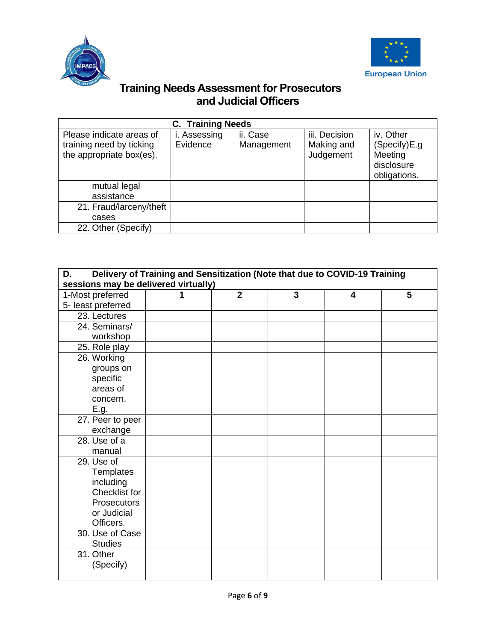



| <b>C. Training Needs</b>                                                         |                          |                        |                                          |                                                                    |  |  |  |
|----------------------------------------------------------------------------------|--------------------------|------------------------|------------------------------------------|--------------------------------------------------------------------|--|--|--|
| Please indicate areas of<br>training need by ticking<br>the appropriate box(es). | i. Assessing<br>Evidence | ii. Case<br>Management | iii. Decision<br>Making and<br>Judgement | iv. Other<br>(Specify)E.g<br>Meeting<br>disclosure<br>obligations. |  |  |  |
| mutual legal                                                                     |                          |                        |                                          |                                                                    |  |  |  |
| assistance                                                                       |                          |                        |                                          |                                                                    |  |  |  |
| 21. Fraud/larceny/theft                                                          |                          |                        |                                          |                                                                    |  |  |  |
| cases                                                                            |                          |                        |                                          |                                                                    |  |  |  |
| 22. Other (Specify)                                                              |                          |                        |                                          |                                                                    |  |  |  |

| Delivery of Training and Sensitization (Note that due to COVID-19 Training<br>D.<br>sessions may be delivered virtually) |  |                |                |                         |   |
|--------------------------------------------------------------------------------------------------------------------------|--|----------------|----------------|-------------------------|---|
|                                                                                                                          |  | $\overline{2}$ | $\overline{3}$ |                         |   |
| 1-Most preferred                                                                                                         |  |                |                | $\overline{\mathbf{4}}$ | 5 |
| 5- least preferred                                                                                                       |  |                |                |                         |   |
| 23. Lectures                                                                                                             |  |                |                |                         |   |
| 24. Seminars/                                                                                                            |  |                |                |                         |   |
| workshop                                                                                                                 |  |                |                |                         |   |
| 25. Role play                                                                                                            |  |                |                |                         |   |
| 26. Working                                                                                                              |  |                |                |                         |   |
| groups on                                                                                                                |  |                |                |                         |   |
| specific                                                                                                                 |  |                |                |                         |   |
| areas of                                                                                                                 |  |                |                |                         |   |
| concern.                                                                                                                 |  |                |                |                         |   |
| E.g.                                                                                                                     |  |                |                |                         |   |
| 27. Peer to peer                                                                                                         |  |                |                |                         |   |
| exchange                                                                                                                 |  |                |                |                         |   |
| 28. Use of a                                                                                                             |  |                |                |                         |   |
| manual                                                                                                                   |  |                |                |                         |   |
| 29. Use of                                                                                                               |  |                |                |                         |   |
| <b>Templates</b>                                                                                                         |  |                |                |                         |   |
| including                                                                                                                |  |                |                |                         |   |
| Checklist for                                                                                                            |  |                |                |                         |   |
| <b>Prosecutors</b>                                                                                                       |  |                |                |                         |   |
| or Judicial                                                                                                              |  |                |                |                         |   |
| Officers.                                                                                                                |  |                |                |                         |   |
| 30. Use of Case                                                                                                          |  |                |                |                         |   |
| <b>Studies</b>                                                                                                           |  |                |                |                         |   |
| 31. Other                                                                                                                |  |                |                |                         |   |
| (Specify)                                                                                                                |  |                |                |                         |   |
|                                                                                                                          |  |                |                |                         |   |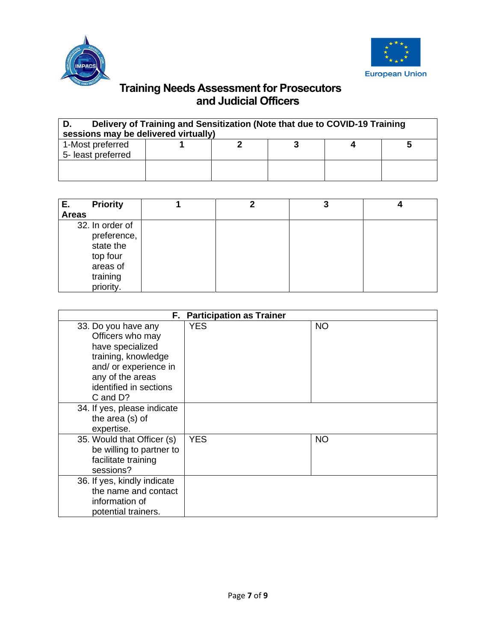



| Delivery of Training and Sensitization (Note that due to COVID-19 Training<br>sessions may be delivered virtually) |  |  |  |  |  |
|--------------------------------------------------------------------------------------------------------------------|--|--|--|--|--|
| 1-Most preferred<br>5- least preferred                                                                             |  |  |  |  |  |
|                                                                                                                    |  |  |  |  |  |

| <b>Priority</b><br>Е.                                                                        |  | J |  |
|----------------------------------------------------------------------------------------------|--|---|--|
| <b>Areas</b>                                                                                 |  |   |  |
| 32. In order of<br>preference,<br>state the<br>top four<br>areas of<br>training<br>priority. |  |   |  |

|                                                                                                                                                                       | F. Participation as Trainer |           |  |  |  |
|-----------------------------------------------------------------------------------------------------------------------------------------------------------------------|-----------------------------|-----------|--|--|--|
| 33. Do you have any<br>Officers who may<br>have specialized<br>training, knowledge<br>and/ or experience in<br>any of the areas<br>identified in sections<br>C and D? | <b>YES</b>                  | <b>NO</b> |  |  |  |
| 34. If yes, please indicate<br>the area (s) of<br>expertise.                                                                                                          |                             |           |  |  |  |
| 35. Would that Officer (s)<br>be willing to partner to<br>facilitate training<br>sessions?                                                                            | <b>YES</b>                  | <b>NO</b> |  |  |  |
| 36. If yes, kindly indicate<br>the name and contact<br>information of<br>potential trainers.                                                                          |                             |           |  |  |  |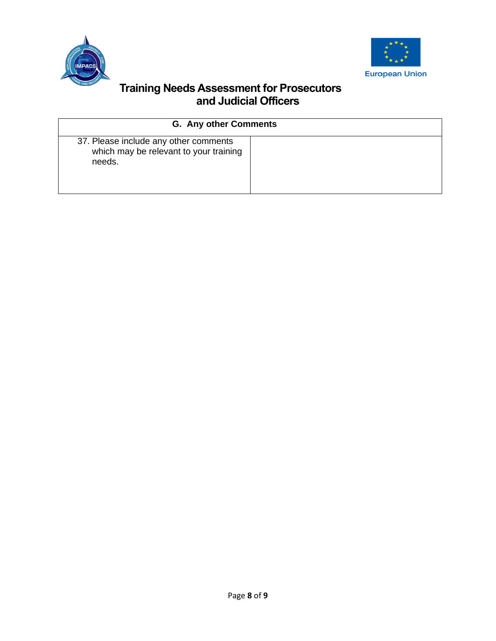



| <b>G. Any other Comments</b>                                                              |  |  |  |  |
|-------------------------------------------------------------------------------------------|--|--|--|--|
| 37. Please include any other comments<br>which may be relevant to your training<br>needs. |  |  |  |  |